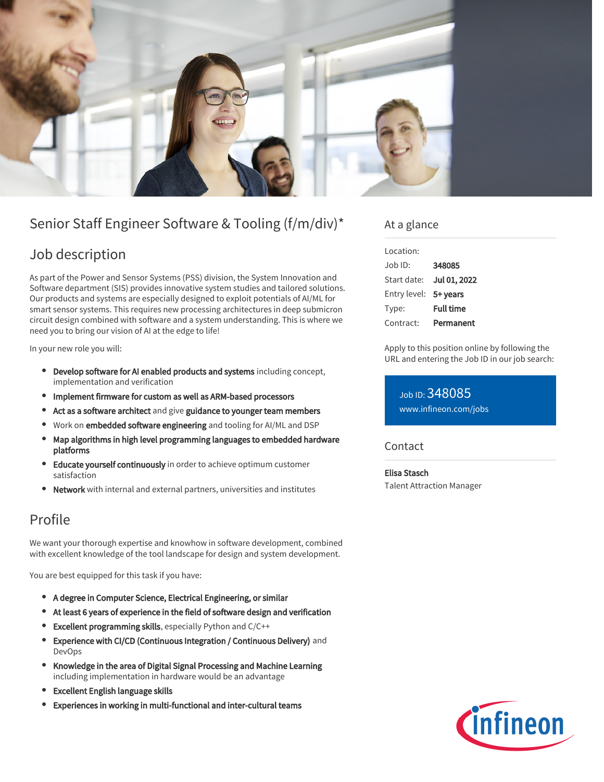

# Senior Staff Engineer Software & Tooling (f/m/div)\*

## Job description

As part of the Power and Sensor Systems (PSS) division, the System Innovation and Software department (SIS) provides innovative system studies and tailored solutions. Our products and systems are especially designed to exploit potentials of AI/ML for smart sensor systems. This requires new processing architectures in deep submicron circuit design combined with software and a system understanding. This is where we need you to bring our vision of AI at the edge to life!

In your new role you will:

- Develop software for AI enabled products and systems including concept, implementation and verification
- Implement firmware for custom as well as ARM-based processors
- Act as a software architect and give guidance to younger team members
- Work on embedded software engineering and tooling for AI/ML and DSP
- $\bullet$ Map algorithms in high level programming languages to embedded hardware platforms
- Educate yourself continuously in order to achieve optimum customer satisfaction
- Network with internal and external partners, universities and institutes

### Profile

We want your thorough expertise and knowhow in software development, combined with excellent knowledge of the tool landscape for design and system development.

You are best equipped for this task if you have:

- A degree in Computer Science, Electrical Engineering, or similar
- At least 6 years of experience in the field of software design and verification
- **Excellent programming skills**, especially Python and C/C++
- Experience with CI/CD (Continuous Integration / Continuous Delivery) and DevOps
- Knowledge in the area of Digital Signal Processing and Machine Learning including implementation in hardware would be an advantage
- Excellent English language skills
- Experiences in working in multi-functional and inter-cultural teams

#### At a glance

| Location:             |                  |
|-----------------------|------------------|
| Job ID:               | 348085           |
| Start date:           | Jul 01, 2022     |
| Entry level: 5+ years |                  |
| Type:                 | <b>Full time</b> |
| Contract:             | Permanent        |

Apply to this position online by following the URL and entering the Job ID in our job search:

Job ID: 348085 [www.infineon.com/jobs](https://www.infineon.com/jobs)

#### **Contact**

Elisa Stasch Talent Attraction Manager